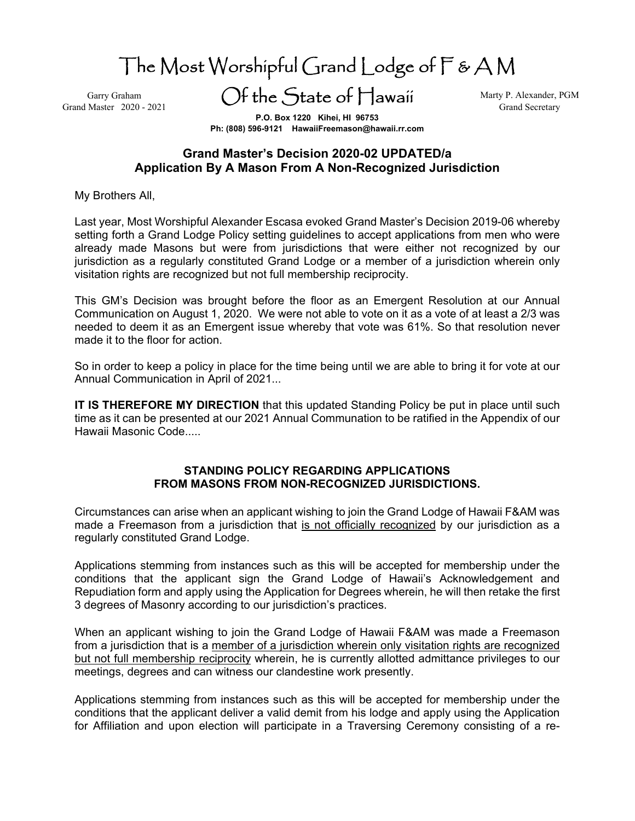The Most Worshipful Grand Lodge of F & A M

Garry Graham Grand Master 2020 - 2021 Of the State of Hawaii

Marty P. Alexander, PGM Grand Secretary

**P.O. Box 1220 Kihei, HI 96753 Ph: (808) 596-9121 HawaiiFreemason@hawaii.rr.com** 

## **Grand Master's Decision 2020-02 UPDATED/a Application By A Mason From A Non-Recognized Jurisdiction**

My Brothers All,

Last year, Most Worshipful Alexander Escasa evoked Grand Master's Decision 2019-06 whereby setting forth a Grand Lodge Policy setting guidelines to accept applications from men who were already made Masons but were from jurisdictions that were either not recognized by our jurisdiction as a regularly constituted Grand Lodge or a member of a jurisdiction wherein only visitation rights are recognized but not full membership reciprocity.

This GM's Decision was brought before the floor as an Emergent Resolution at our Annual Communication on August 1, 2020. We were not able to vote on it as a vote of at least a 2/3 was needed to deem it as an Emergent issue whereby that vote was 61%. So that resolution never made it to the floor for action.

So in order to keep a policy in place for the time being until we are able to bring it for vote at our Annual Communication in April of 2021...

**IT IS THEREFORE MY DIRECTION** that this updated Standing Policy be put in place until such time as it can be presented at our 2021 Annual Communation to be ratified in the Appendix of our Hawaii Masonic Code.....

## **STANDING POLICY REGARDING APPLICATIONS FROM MASONS FROM NON-RECOGNIZED JURISDICTIONS.**

Circumstances can arise when an applicant wishing to join the Grand Lodge of Hawaii F&AM was made a Freemason from a jurisdiction that is not officially recognized by our jurisdiction as a regularly constituted Grand Lodge.

Applications stemming from instances such as this will be accepted for membership under the conditions that the applicant sign the Grand Lodge of Hawaii's Acknowledgement and Repudiation form and apply using the Application for Degrees wherein, he will then retake the first 3 degrees of Masonry according to our jurisdiction's practices.

When an applicant wishing to join the Grand Lodge of Hawaii F&AM was made a Freemason from a jurisdiction that is a member of a jurisdiction wherein only visitation rights are recognized but not full membership reciprocity wherein, he is currently allotted admittance privileges to our meetings, degrees and can witness our clandestine work presently.

Applications stemming from instances such as this will be accepted for membership under the conditions that the applicant deliver a valid demit from his lodge and apply using the Application for Affiliation and upon election will participate in a Traversing Ceremony consisting of a re-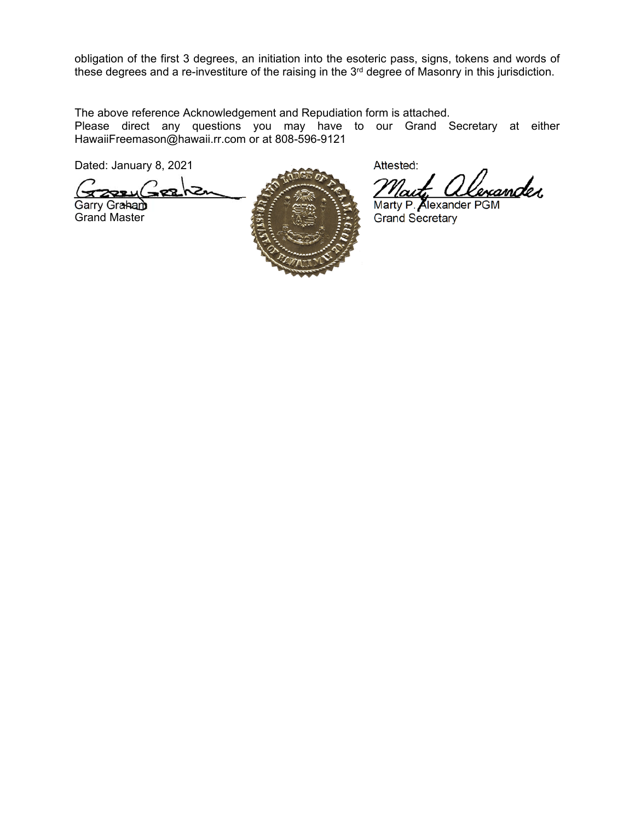obligation of the first 3 degrees, an initiation into the esoteric pass, signs, tokens and words of these degrees and a re-investiture of the raising in the 3<sup>rd</sup> degree of Masonry in this jurisdiction.

The above reference Acknowledgement and Repudiation form is attached.

Please direct any questions you may have to our Grand Secretary at either HawaiiFreemason@hawaii.rr.com or at 808-596-9121

Dated: January 8, 2021 Attested:

 $\frac{1}{22224-2224}$ 



Grand Secretary